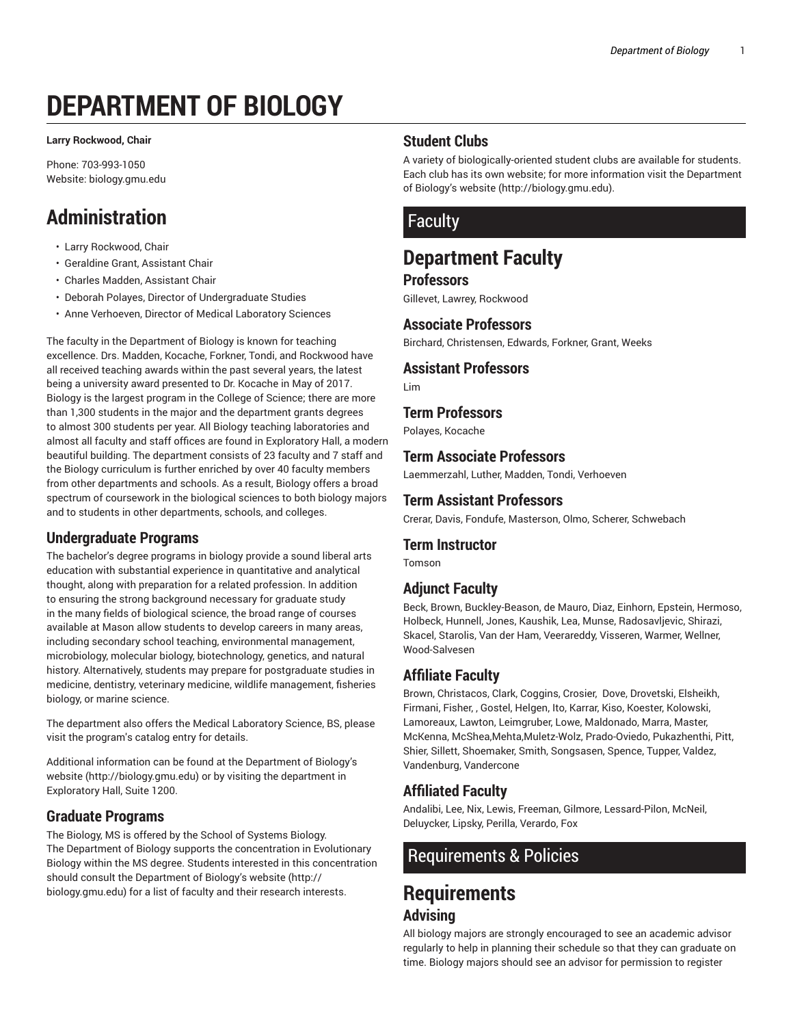# **DEPARTMENT OF BIOLOGY**

**Larry Rockwood, Chair**

Phone: 703-993-1050 Website: biology.gmu.edu

# **Administration**

- Larry Rockwood, Chair
- Geraldine Grant, Assistant Chair
- Charles Madden, Assistant Chair
- Deborah Polayes, Director of Undergraduate Studies
- Anne Verhoeven, Director of Medical Laboratory Sciences

The faculty in the Department of Biology is known for teaching excellence. Drs. Madden, Kocache, Forkner, Tondi, and Rockwood have all received teaching awards within the past several years, the latest being a university award presented to Dr. Kocache in May of 2017. Biology is the largest program in the College of Science; there are more than 1,300 students in the major and the department grants degrees to almost 300 students per year. All Biology teaching laboratories and almost all faculty and staff offices are found in Exploratory Hall, a modern beautiful building. The department consists of 23 faculty and 7 staff and the Biology curriculum is further enriched by over 40 faculty members from other departments and schools. As a result, Biology offers a broad spectrum of coursework in the biological sciences to both biology majors and to students in other departments, schools, and colleges.

#### **Undergraduate Programs**

The bachelor's degree programs in biology provide a sound liberal arts education with substantial experience in quantitative and analytical thought, along with preparation for a related profession. In addition to ensuring the strong background necessary for graduate study in the many fields of biological science, the broad range of courses available at Mason allow students to develop careers in many areas, including secondary school teaching, environmental management, microbiology, molecular biology, biotechnology, genetics, and natural history. Alternatively, students may prepare for postgraduate studies in medicine, dentistry, veterinary medicine, wildlife management, fisheries biology, or marine science.

The department also offers the Medical Laboratory Science, BS, please visit the program's catalog entry for details.

Additional information can be found at the Department of Biology's website (http://biology.gmu.edu) or by visiting the department in Exploratory Hall, Suite 1200.

#### **Graduate Programs**

The Biology, MS is offered by the School of Systems Biology. The Department of Biology supports the concentration in Evolutionary Biology within the MS degree. Students interested in this concentration should consult the Department of Biology's website (http:// biology.gmu.edu) for a list of faculty and their research interests.

# **Student Clubs**

A variety of biologically-oriented student clubs are available for students. Each club has its own website; for more information visit the Department of Biology's website (http://biology.gmu.edu).

# Faculty

# **Department Faculty**

#### **Professors**

Gillevet, Lawrey, Rockwood

#### **Associate Professors**

Birchard, Christensen, Edwards, Forkner, Grant, Weeks

# **Assistant Professors**

Lim

#### **Term Professors**

Polayes, Kocache

#### **Term Associate Professors**

Laemmerzahl, Luther, Madden, Tondi, Verhoeven

#### **Term Assistant Professors**

Crerar, Davis, Fondufe, Masterson, Olmo, Scherer, Schwebach

#### **Term Instructor**

Tomson

# **Adjunct Faculty**

Beck, Brown, Buckley-Beason, de Mauro, Diaz, Einhorn, Epstein, Hermoso, Holbeck, Hunnell, Jones, Kaushik, Lea, Munse, Radosavljevic, Shirazi, Skacel, Starolis, Van der Ham, Veerareddy, Visseren, Warmer, Wellner, Wood-Salvesen

# **Affiliate Faculty**

Brown, Christacos, Clark, Coggins, Crosier, Dove, Drovetski, Elsheikh, Firmani, Fisher, , Gostel, Helgen, Ito, Karrar, Kiso, Koester, Kolowski, Lamoreaux, Lawton, Leimgruber, Lowe, Maldonado, Marra, Master, McKenna, McShea,Mehta,Muletz-Wolz, Prado-Oviedo, Pukazhenthi, Pitt, Shier, Sillett, Shoemaker, Smith, Songsasen, Spence, Tupper, Valdez, Vandenburg, Vandercone

# **Affiliated Faculty**

Andalibi, Lee, Nix, Lewis, Freeman, Gilmore, Lessard-Pilon, McNeil, Deluycker, Lipsky, Perilla, Verardo, Fox

# Requirements & Policies

# **Requirements Advising**

All biology majors are strongly encouraged to see an academic advisor regularly to help in planning their schedule so that they can graduate on time. Biology majors should see an advisor for permission to register